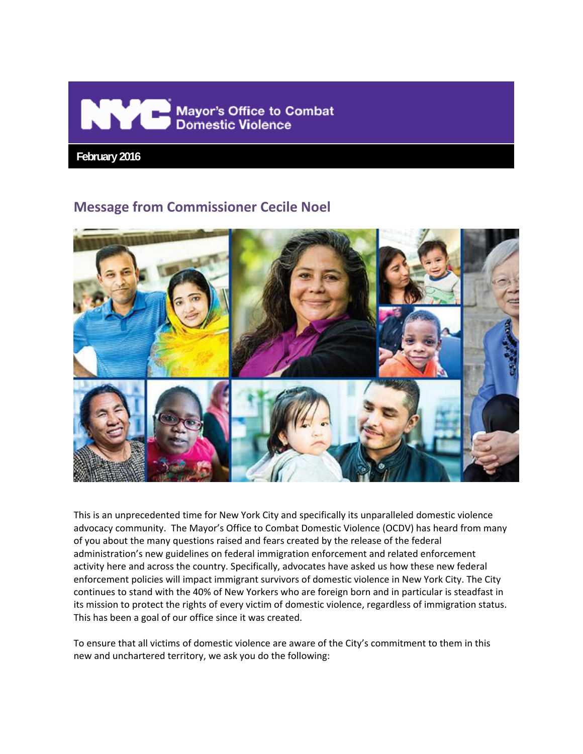

 **February 2016**

# **Message from Commissioner Cecile Noel**



This is an unprecedented time for New York City and specifically its unparalleled domestic violence advocacy community. The Mayor's Office to Combat Domestic Violence (OCDV) has heard from many of you about the many questions raised and fears created by the release of the federal administration's new guidelines on federal immigration enforcement and related enforcement activity here and across the country. Specifically, advocates have asked us how these new federal enforcement policies will impact immigrant survivors of domestic violence in New York City. The City continues to stand with the 40% of New Yorkers who are foreign born and in particular is steadfast in its mission to protect the rights of every victim of domestic violence, regardless of immigration status. This has been a goal of our office since it was created.

To ensure that all victims of domestic violence are aware of the City's commitment to them in this new and unchartered territory, we ask you do the following: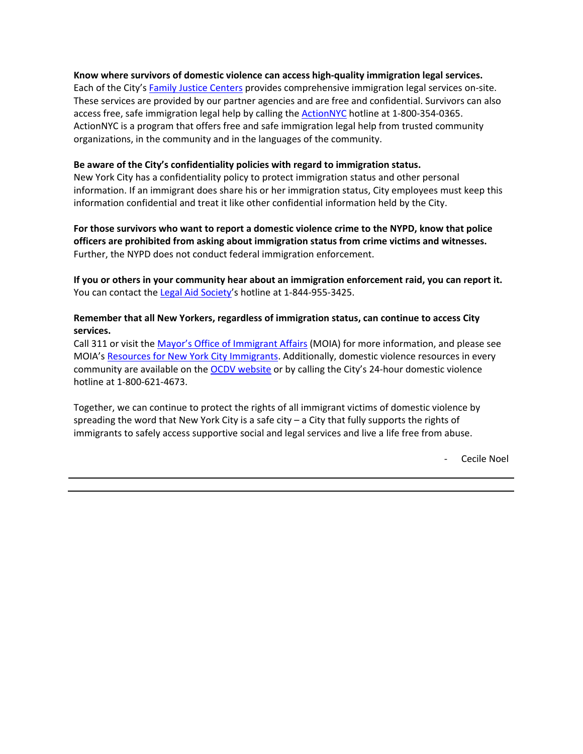### **Know where survivors of domestic violence can access high‐quality immigration legal services.**

Each of the City's Family Justice Centers provides comprehensive immigration legal services on-site. These services are provided by our partner agencies and are free and confidential. Survivors can also access free, safe immigration legal help by calling the ActionNYC hotline at 1-800-354-0365. ActionNYC is a program that offers free and safe immigration legal help from trusted community organizations, in the community and in the languages of the community.

### **Be aware of the City's confidentiality policies with regard to immigration status.**

New York City has a confidentiality policy to protect immigration status and other personal information. If an immigrant does share his or her immigration status, City employees must keep this information confidential and treat it like other confidential information held by the City.

**For those survivors who want to report a domestic violence crime to the NYPD, know that police officers are prohibited from asking about immigration status from crime victims and witnesses.**  Further, the NYPD does not conduct federal immigration enforcement.

**If you or others in your community hear about an immigration enforcement raid, you can report it.** You can contact the Legal Aid Society's hotline at 1-844-955-3425.

### **Remember that all New Yorkers, regardless of immigration status, can continue to access City services.**

Call 311 or visit the Mayor's Office of Immigrant Affairs (MOIA) for more information, and please see MOIA's Resources for New York City Immigrants. Additionally, domestic violence resources in every community are available on the **OCDV** website or by calling the City's 24-hour domestic violence hotline at 1‐800‐621‐4673.

Together, we can continue to protect the rights of all immigrant victims of domestic violence by spreading the word that New York City is a safe city – a City that fully supports the rights of immigrants to safely access supportive social and legal services and live a life free from abuse.

‐ Cecile Noel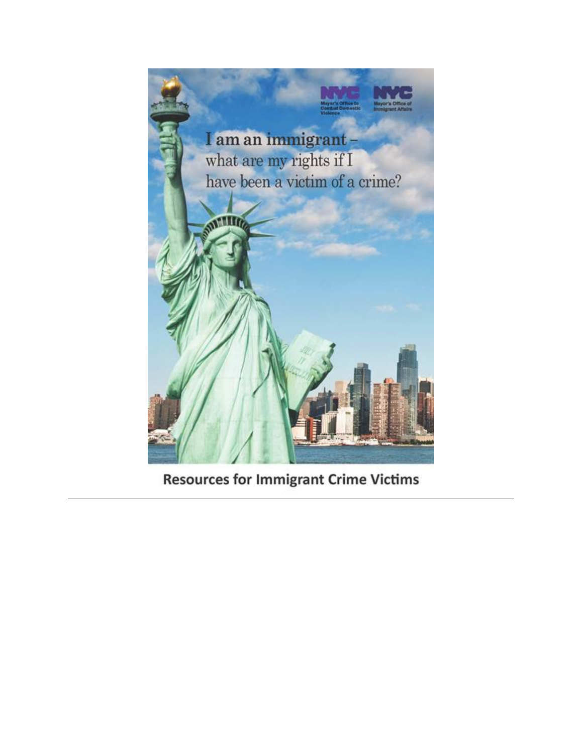

**Resources for Immigrant Crime Victims**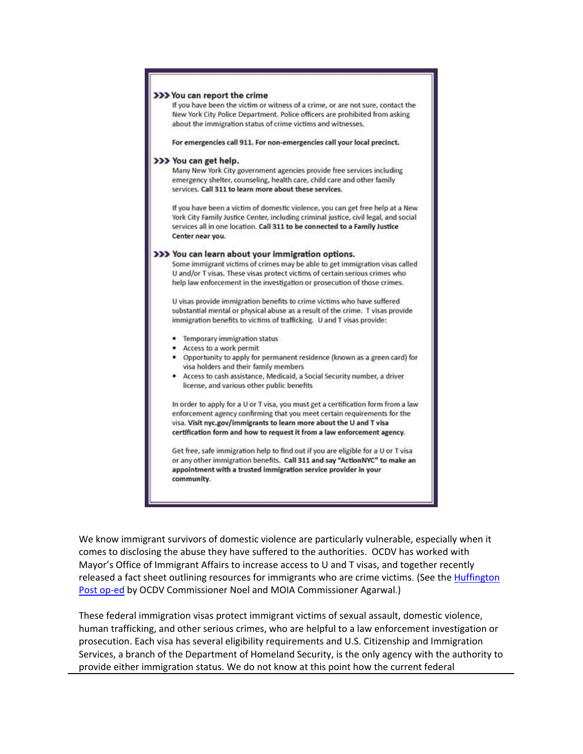

We know immigrant survivors of domestic violence are particularly vulnerable, especially when it comes to disclosing the abuse they have suffered to the authorities. OCDV has worked with Mayor's Office of Immigrant Affairs to increase access to U and T visas, and together recently released a fact sheet outlining resources for immigrants who are crime victims. (See the Huffington Post op-ed by OCDV Commissioner Noel and MOIA Commissioner Agarwal.)

These federal immigration visas protect immigrant victims of sexual assault, domestic violence, human trafficking, and other serious crimes, who are helpful to a law enforcement investigation or prosecution. Each visa has several eligibility requirements and U.S. Citizenship and Immigration Services, a branch of the Department of Homeland Security, is the only agency with the authority to provide either immigration status. We do not know at this point how the current federal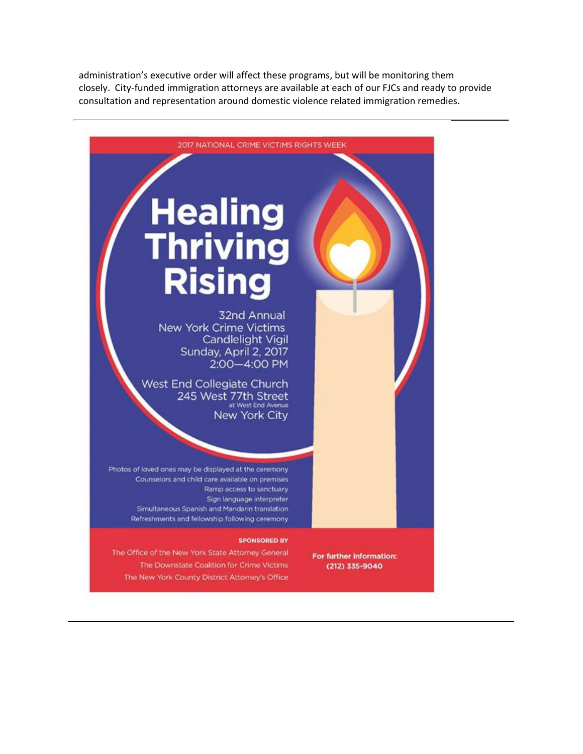administration's executive order will affect these programs, but will be monitoring them closely. City‐funded immigration attorneys are available at each of our FJCs and ready to provide consultation and representation around domestic violence related immigration remedies.



The Downstate Coalition for Crime Victims The New York County District Attorney's Office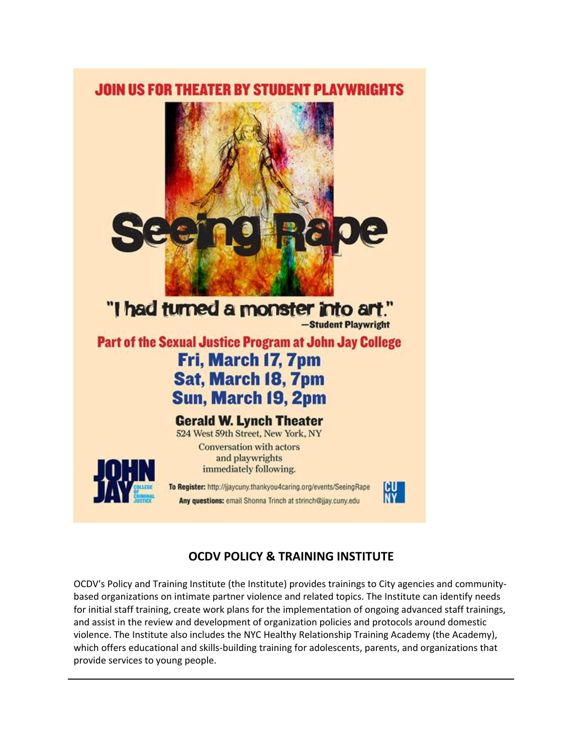



Any questions: email Shonna Trinch at strinch@jjay.cuny.edu



# **OCDV POLICY & TRAINING INSTITUTE**

OCDV's Policy and Training Institute (the Institute) provides trainings to City agencies and community‐ based organizations on intimate partner violence and related topics. The Institute can identify needs for initial staff training, create work plans for the implementation of ongoing advanced staff trainings, and assist in the review and development of organization policies and protocols around domestic violence. The Institute also includes the NYC Healthy Relationship Training Academy (the Academy), which offers educational and skills‐building training for adolescents, parents, and organizations that provide services to young people.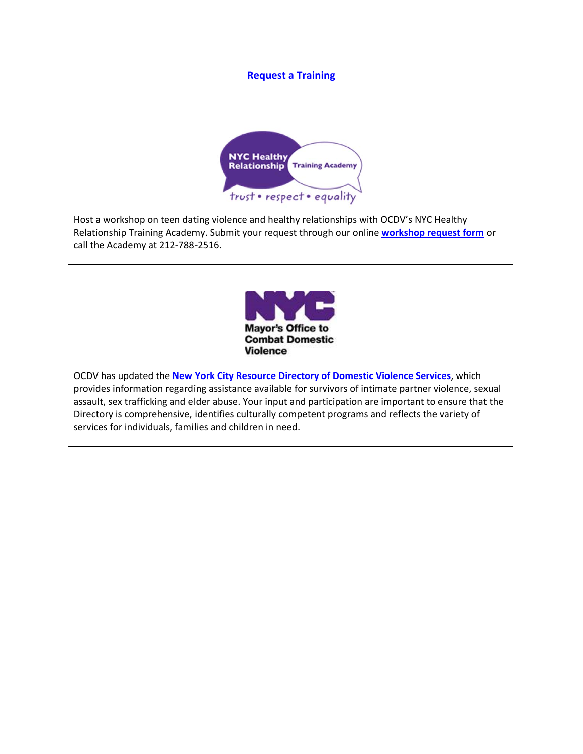### **Request a Training**



Host a workshop on teen dating violence and healthy relationships with OCDV's NYC Healthy Relationship Training Academy. Submit your request through our online **workshop request form** or call the Academy at 212‐788‐2516.



OCDV has updated the **New York City Resource Directory of Domestic Violence Services**, which provides information regarding assistance available for survivors of intimate partner violence, sexual assault, sex trafficking and elder abuse. Your input and participation are important to ensure that the Directory is comprehensive, identifies culturally competent programs and reflects the variety of services for individuals, families and children in need.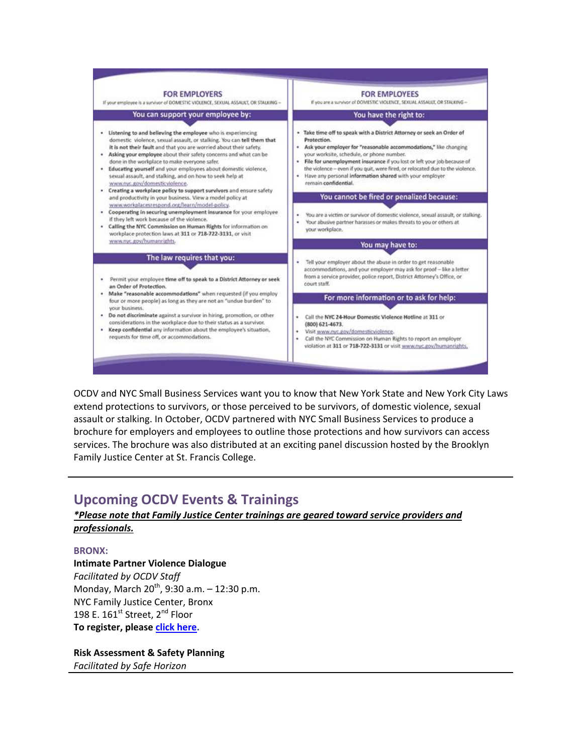

OCDV and NYC Small Business Services want you to know that New York State and New York City Laws extend protections to survivors, or those perceived to be survivors, of domestic violence, sexual assault or stalking. In October, OCDV partnered with NYC Small Business Services to produce a brochure for employers and employees to outline those protections and how survivors can access services. The brochure was also distributed at an exciting panel discussion hosted by the Brooklyn Family Justice Center at St. Francis College.

## **Upcoming OCDV Events & Trainings**

### *\*Please note that Family Justice Center trainings are geared toward service providers and professionals.*

### **BRONX:**

**Intimate Partner Violence Dialogue** *Facilitated by OCDV Staff* Monday, March  $20^{th}$ , 9:30 a.m.  $- 12:30$  p.m. NYC Family Justice Center, Bronx 198 E.  $161^{st}$  Street,  $2^{nd}$  Floor **To register, please click here.**

**Risk Assessment & Safety Planning** *Facilitated by Safe Horizon*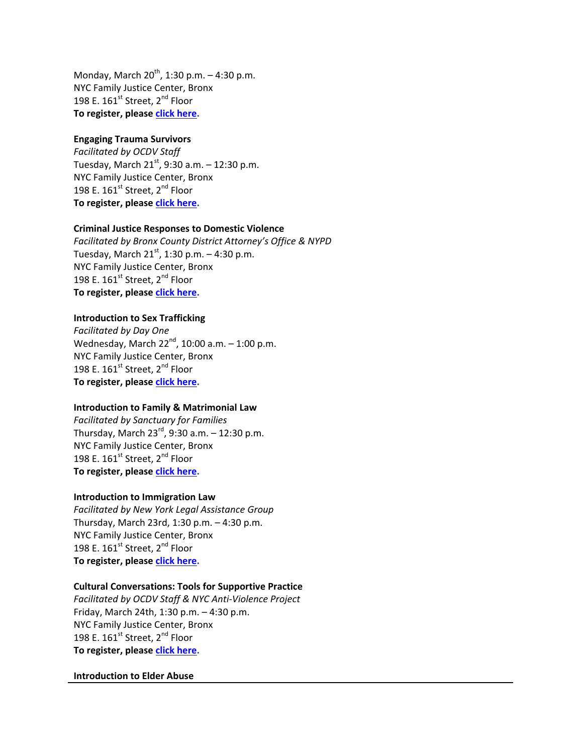Monday, March  $20^{th}$ , 1:30 p.m.  $-$  4:30 p.m. NYC Family Justice Center, Bronx 198 E. 161st Street, 2<sup>nd</sup> Floor **To register, please click here.**

### **Engaging Trauma Survivors**

*Facilitated by OCDV Staff* Tuesday, March  $21^{st}$ , 9:30 a.m.  $-$  12:30 p.m. NYC Family Justice Center, Bronx 198 E.  $161^{\text{st}}$  Street,  $2^{\text{nd}}$  Floor **To register, please click here.**

#### **Criminal Justice Responses to Domestic Violence**

*Facilitated by Bronx County District Attorney's Office & NYPD* Tuesday, March  $21^{st}$ , 1:30 p.m.  $-4:30$  p.m. NYC Family Justice Center, Bronx 198 E. 161<sup>st</sup> Street, 2<sup>nd</sup> Floor **To register, please click here.**

#### **Introduction to Sex Trafficking**

*Facilitated by Day One* Wednesday, March  $22^{nd}$ , 10:00 a.m.  $-1:00$  p.m. NYC Family Justice Center, Bronx 198 E. 161<sup>st</sup> Street, 2<sup>nd</sup> Floor **To register, please click here.**

#### **Introduction to Family & Matrimonial Law**

*Facilitated by Sanctuary for Families* Thursday, March  $23^{rd}$ , 9:30 a.m.  $-12:30$  p.m. NYC Family Justice Center, Bronx 198 E.  $161^{st}$  Street,  $2^{nd}$  Floor **To register, please click here.**

#### **Introduction to Immigration Law**

*Facilitated by New York Legal Assistance Group* Thursday, March 23rd, 1:30 p.m. – 4:30 p.m. NYC Family Justice Center, Bronx 198 E.  $161^{\text{st}}$  Street,  $2^{\text{nd}}$  Floor **To register, please click here.**

### **Cultural Conversations: Tools for Supportive Practice**

*Facilitated by OCDV Staff & NYC Anti‐Violence Project* Friday, March 24th, 1:30 p.m. – 4:30 p.m. NYC Family Justice Center, Bronx 198 E.  $161^{st}$  Street,  $2^{nd}$  Floor **To register, please click here.**

#### **Introduction to Elder Abuse**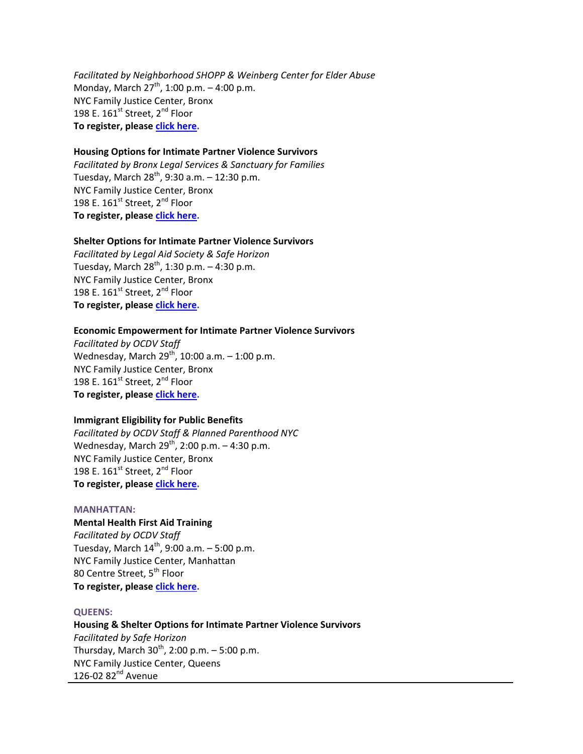*Facilitated by Neighborhood SHOPP & Weinberg Center for Elder Abuse* Monday, March  $27^{th}$ , 1:00 p.m.  $-$  4:00 p.m. NYC Family Justice Center, Bronx 198 E. 161<sup>st</sup> Street, 2<sup>nd</sup> Floor **To register, please click here.**

### **Housing Options for Intimate Partner Violence Survivors**

*Facilitated by Bronx Legal Services & Sanctuary for Families* Tuesday, March  $28^{th}$ , 9:30 a.m. - 12:30 p.m. NYC Family Justice Center, Bronx 198 E. 161<sup>st</sup> Street, 2<sup>nd</sup> Floor **To register, please click here.**

#### **Shelter Options for Intimate Partner Violence Survivors**

*Facilitated by Legal Aid Society & Safe Horizon* Tuesday, March  $28^{th}$ , 1:30 p.m.  $-$  4:30 p.m. NYC Family Justice Center, Bronx 198 E.  $161^{\text{st}}$  Street,  $2^{\text{nd}}$  Floor **To register, please click here.**

#### **Economic Empowerment for Intimate Partner Violence Survivors**

*Facilitated by OCDV Staff* Wednesday, March  $29^{th}$ , 10:00 a.m.  $-$  1:00 p.m. NYC Family Justice Center, Bronx 198 E.  $161^{\text{st}}$  Street,  $2^{\text{nd}}$  Floor **To register, please click here.**

#### **Immigrant Eligibility for Public Benefits**

*Facilitated by OCDV Staff & Planned Parenthood NYC* Wednesday, March  $29^{th}$ , 2:00 p.m.  $-$  4:30 p.m. NYC Family Justice Center, Bronx 198 E.  $161^{st}$  Street,  $2^{nd}$  Floor **To register, please click here.**

#### **MANHATTAN:**

**Mental Health First Aid Training** *Facilitated by OCDV Staff* Tuesday, March  $14^{th}$ , 9:00 a.m.  $-5:00$  p.m. NYC Family Justice Center, Manhattan 80 Centre Street, 5<sup>th</sup> Floor **To register, please click here.**

#### **QUEENS:**

**Housing & Shelter Options for Intimate Partner Violence Survivors** *Facilitated by Safe Horizon* Thursday, March  $30^{th}$ , 2:00 p.m. – 5:00 p.m. NYC Family Justice Center, Queens 126-02 82<sup>nd</sup> Avenue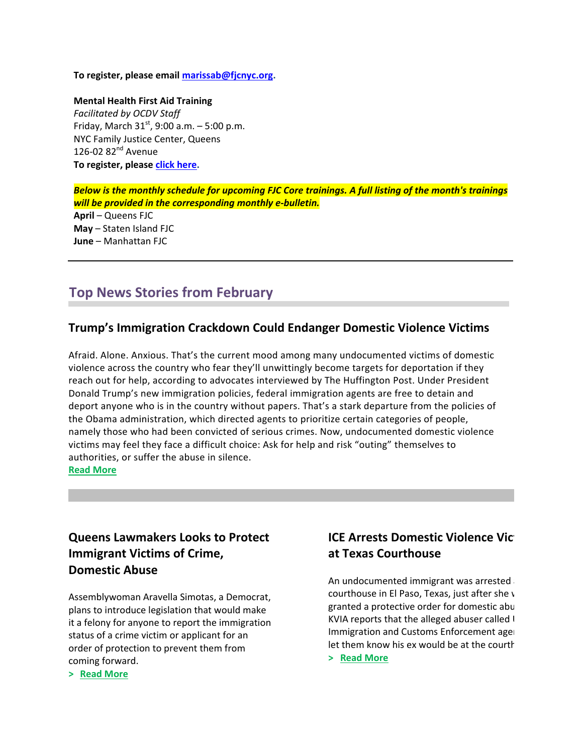**To register, please email marissab@fjcnyc.org.** 

**Mental Health First Aid Training** *Facilitated by OCDV Staff* Friday, March  $31^{st}$ , 9:00 a.m.  $-5:00$  p.m. NYC Family Justice Center, Queens 126-02 82<sup>nd</sup> Avenue **To register, please click here.**

*Below is the monthly schedule for upcoming FJC Core trainings. A full listing of the month's trainings will be provided in the corresponding monthly e‐bulletin.* **April** – Queens FJC

**May** – Staten Island FJC **June** – Manhattan FJC

# **Top News Stories from February**

### **Trump's Immigration Crackdown Could Endanger Domestic Violence Victims**

Afraid. Alone. Anxious. That's the current mood among many undocumented victims of domestic violence across the country who fear they'll unwittingly become targets for deportation if they reach out for help, according to advocates interviewed by The Huffington Post. Under President Donald Trump's new immigration policies, federal immigration agents are free to detain and deport anyone who is in the country without papers. That's a stark departure from the policies of the Obama administration, which directed agents to prioritize certain categories of people, namely those who had been convicted of serious crimes. Now, undocumented domestic violence victims may feel they face a difficult choice: Ask for help and risk "outing" themselves to authorities, or suffer the abuse in silence. **Read More** 

## **Queens Lawmakers Looks to Protect Immigrant Victims of Crime, Domestic Abuse**

Assemblywoman Aravella Simotas, a Democrat, plans to introduce legislation that would make it a felony for anyone to report the immigration status of a crime victim or applicant for an order of protection to prevent them from coming forward.

### **ICE** Arrests Domestic Violence Vict **at Texas Courthouse**

An undocumented immigrant was arrested courthouse in El Paso, Texas, just after she  $\nu$ granted a protective order for domestic abu KVIA reports that the alleged abuser called I Immigration and Customs Enforcement agent let them know his ex would be at the courth

**> Read More**

**> Read More**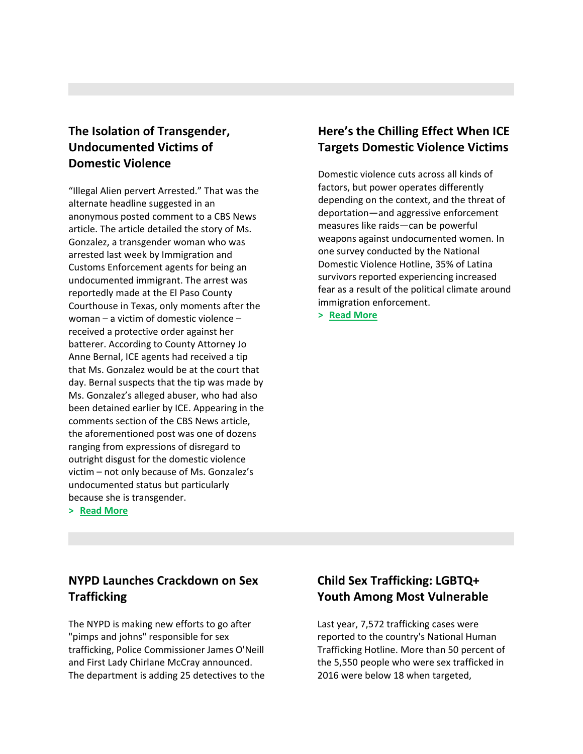## **The Isolation of Transgender, Undocumented Victims of Domestic Violence**

"Illegal Alien pervert Arrested." That was the alternate headline suggested in an anonymous posted comment to a CBS News article. The article detailed the story of Ms. Gonzalez, a transgender woman who was arrested last week by Immigration and Customs Enforcement agents for being an undocumented immigrant. The arrest was reportedly made at the El Paso County Courthouse in Texas, only moments after the woman – a victim of domestic violence – received a protective order against her batterer. According to County Attorney Jo Anne Bernal, ICE agents had received a tip that Ms. Gonzalez would be at the court that day. Bernal suspects that the tip was made by Ms. Gonzalez's alleged abuser, who had also been detained earlier by ICE. Appearing in the comments section of the CBS News article, the aforementioned post was one of dozens ranging from expressions of disregard to outright disgust for the domestic violence victim – not only because of Ms. Gonzalez's undocumented status but particularly because she is transgender.

**> Read More**

# **Here's the Chilling Effect When ICE Targets Domestic Violence Victims**

Domestic violence cuts across all kinds of factors, but power operates differently depending on the context, and the threat of deportation—and aggressive enforcement measures like raids—can be powerful weapons against undocumented women. In one survey conducted by the National Domestic Violence Hotline, 35% of Latina survivors reported experiencing increased fear as a result of the political climate around immigration enforcement.

**> Read More**

# **NYPD Launches Crackdown on Sex Trafficking**

The NYPD is making new efforts to go after "pimps and johns" responsible for sex trafficking, Police Commissioner James O'Neill and First Lady Chirlane McCray announced. The department is adding 25 detectives to the

# **Child Sex Trafficking: LGBTQ+ Youth Among Most Vulnerable**

Last year, 7,572 trafficking cases were reported to the country's National Human Trafficking Hotline. More than 50 percent of the 5,550 people who were sex trafficked in 2016 were below 18 when targeted,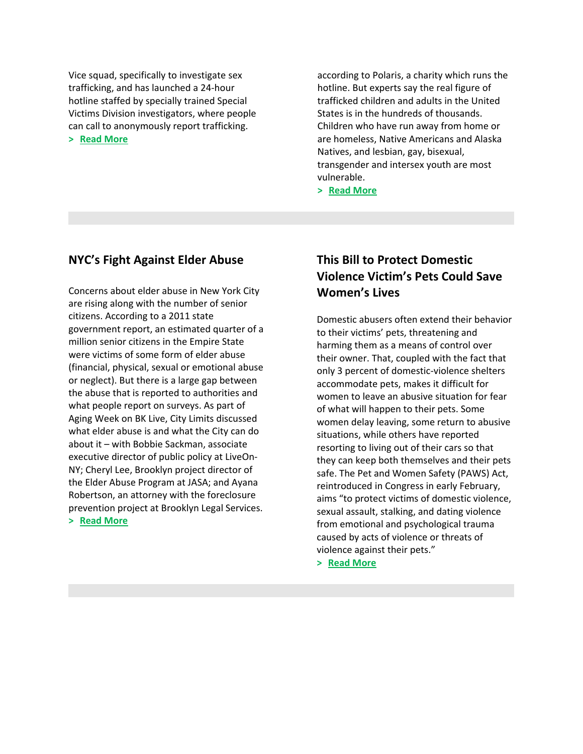Vice squad, specifically to investigate sex trafficking, and has launched a 24‐hour hotline staffed by specially trained Special Victims Division investigators, where people can call to anonymously report trafficking. **> Read More**

according to Polaris, a charity which runs the hotline. But experts say the real figure of trafficked children and adults in the United States is in the hundreds of thousands. Children who have run away from home or are homeless, Native Americans and Alaska Natives, and lesbian, gay, bisexual, transgender and intersex youth are most vulnerable.

**> Read More**

### **NYC's Fight Against Elder Abuse**

Concerns about elder abuse in New York City are rising along with the number of senior citizens. According to a 2011 state government report, an estimated quarter of a million senior citizens in the Empire State were victims of some form of elder abuse (financial, physical, sexual or emotional abuse or neglect). But there is a large gap between the abuse that is reported to authorities and what people report on surveys. As part of Aging Week on BK Live, City Limits discussed what elder abuse is and what the City can do about it – with Bobbie Sackman, associate executive director of public policy at LiveOn‐ NY; Cheryl Lee, Brooklyn project director of the Elder Abuse Program at JASA; and Ayana Robertson, an attorney with the foreclosure prevention project at Brooklyn Legal Services. **> Read More**

## **This Bill to Protect Domestic Violence Victim's Pets Could Save Women's Lives**

Domestic abusers often extend their behavior to their victims' pets, threatening and harming them as a means of control over their owner. That, coupled with the fact that only 3 percent of domestic‐violence shelters accommodate pets, makes it difficult for women to leave an abusive situation for fear of what will happen to their pets. Some women delay leaving, some return to abusive situations, while others have reported resorting to living out of their cars so that they can keep both themselves and their pets safe. The Pet and Women Safety (PAWS) Act, reintroduced in Congress in early February, aims "to protect victims of domestic violence, sexual assault, stalking, and dating violence from emotional and psychological trauma caused by acts of violence or threats of violence against their pets."

**> Read More**